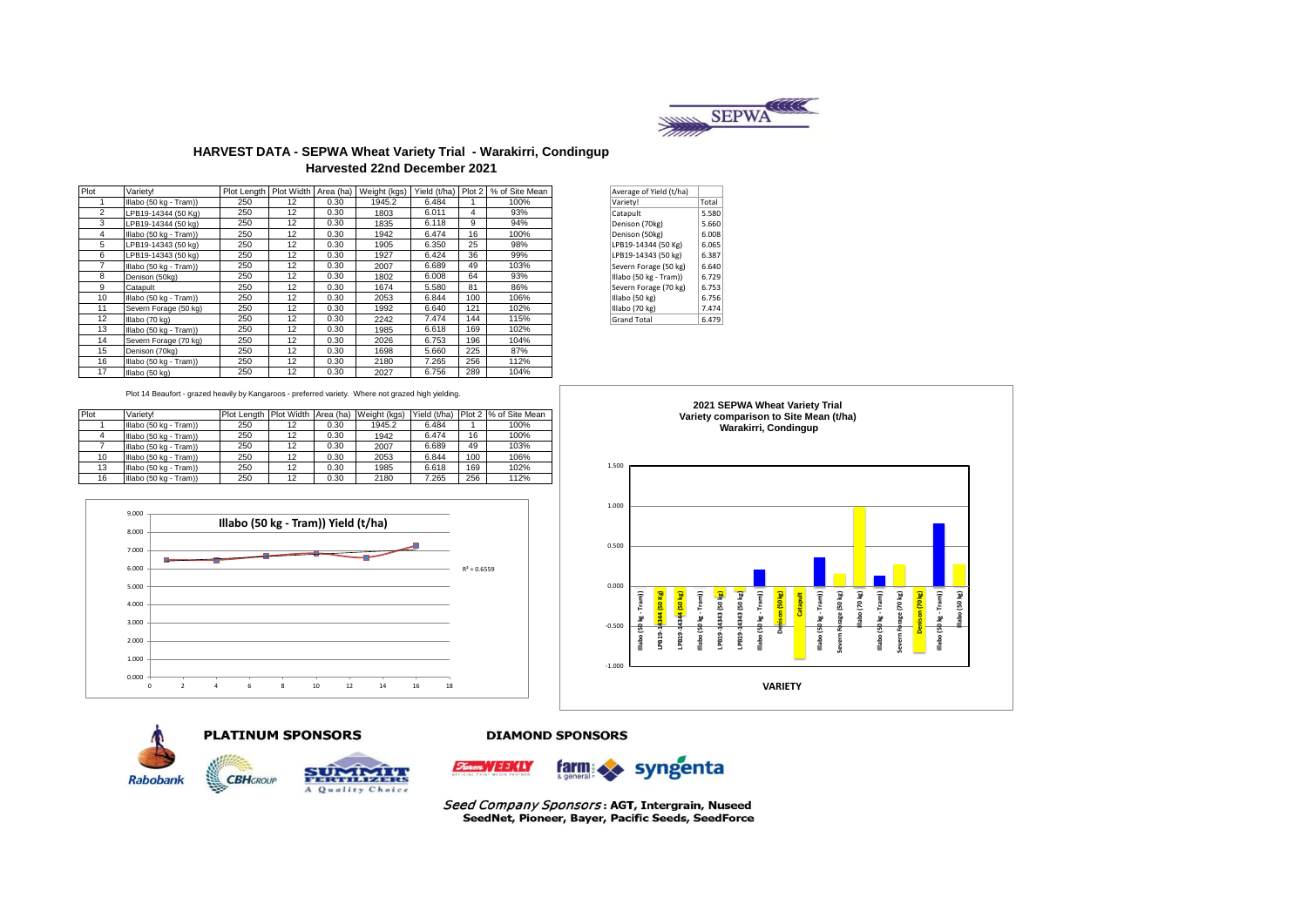

## **HARVEST DATA - SEPWA Wheat Variety Trial - Warakirri, Condingup Harvested 22nd December 2021**

| Plot | Varietv!               | Plot Length |    |      | Plot Width Area (ha) Weight (kgs) |       |     | Yield (t/ha)   Plot 2   % of Site Mean | Average of Yield (t/ha) |       |
|------|------------------------|-------------|----|------|-----------------------------------|-------|-----|----------------------------------------|-------------------------|-------|
|      | Illabo (50 kg - Tram)) | 250         | 12 | 0.30 | 1945.2                            | 6.484 |     | 100%                                   | Variety!                | Total |
| 2    | LPB19-14344 (50 Kg)    | 250         | 12 | 0.30 | 1803                              | 6.011 | 4   | 93%                                    | Catapult                | 5.580 |
| 3    | LPB19-14344 (50 kg)    | 250         | 12 | 0.30 | 1835                              | 6.118 | 9   | 94%                                    | Denison (70kg)          | 5.660 |
| 4    | Illabo (50 kg - Tram)) | 250         | 12 | 0.30 | 1942                              | 6.474 | 16  | 100%                                   | Denison (50kg)          | 6.008 |
| 5    | LPB19-14343 (50 kg)    | 250         | 12 | 0.30 | 1905                              | 6.350 | 25  | 98%                                    | LPB19-14344 (50 Kg)     | 6.065 |
| 6    | LPB19-14343 (50 kg)    | 250         | 12 | 0.30 | 1927                              | 6.424 | 36  | 99%                                    | LPB19-14343 (50 kg)     | 6.387 |
|      | Illabo (50 kg - Tram)) | 250         | 12 | 0.30 | 2007                              | 6.689 | 49  | 103%                                   | Severn Forage (50 kg)   | 6.640 |
| 8    | Denison (50kg)         | 250         | 12 | 0.30 | 1802                              | 6.008 | 64  | 93%                                    | Illabo (50 kg - Tram))  | 6.729 |
| 9    | Catapult               | 250         | 12 | 0.30 | 1674                              | 5.580 | 81  | 86%                                    | Severn Forage (70 kg)   | 6.753 |
| 10   | Illabo (50 kg - Tram)) | 250         | 12 | 0.30 | 2053                              | 6.844 | 100 | 106%                                   | Illabo (50 kg)          | 6.756 |
| 11   | Severn Forage (50 kg)  | 250         | 12 | 0.30 | 1992                              | 6.640 | 121 | 102%                                   | Illabo (70 kg)          | 7.474 |
| 12   | Illabo (70 kg)         | 250         | 12 | 0.30 | 2242                              | 7.474 | 144 | 115%                                   | <b>Grand Total</b>      | 6.479 |
| 13   | Illabo (50 kg - Tram)) | 250         | 12 | 0.30 | 1985                              | 6.618 | 169 | 102%                                   |                         |       |
| 14   | Severn Forage (70 kg)  | 250         | 12 | 0.30 | 2026                              | 6.753 | 196 | 104%                                   |                         |       |
| 15   | Denison (70kg)         | 250         | 12 | 0.30 | 1698                              | 5.660 | 225 | 87%                                    |                         |       |
| 16   | Illabo (50 kg - Tram)) | 250         | 12 | 0.30 | 2180                              | 7.265 | 256 | 112%                                   |                         |       |
| 17   | Illabo (50 kg)         | 250         | 12 | 0.30 | 2027                              | 6.756 | 289 | 104%                                   |                         |       |

| Average of Yield (t/ha) |       |  |
|-------------------------|-------|--|
| Variety!                | Total |  |
| Catapult                | 5.580 |  |
| Denison (70kg)          | 5.660 |  |
| Denison (50kg)          | 6.008 |  |
| LPB19-14344 (50 Kg)     | 6.065 |  |
| LPB19-14343 (50 kg)     | 6.387 |  |
| Severn Forage (50 kg)   | 6.640 |  |
| Illabo (50 kg - Tram))  | 6.729 |  |
| Severn Forage (70 kg)   | 6.753 |  |
| Illabo (50 kg)          | 6.756 |  |
| Illabo (70 kg)          | 7.474 |  |
| <b>Grand Total</b>      | 6.479 |  |

Plot 14 Beaufort - grazed heavily by Kangaroos - preferred variety. Where not grazed high yielding.

| Plot | Variety!               |     |    |      | Plot Length Plot Width Area (ha) Weight (kgs) | Yield (t/ha) |     | Plot 2 % of Site Mean |
|------|------------------------|-----|----|------|-----------------------------------------------|--------------|-----|-----------------------|
|      | Illabo (50 kg - Tram)) | 250 | 12 | 0.30 | 1945.2                                        | 6.484        |     | 100%                  |
|      | Illabo (50 kg - Tram)) | 250 | 12 | 0.30 | 1942                                          | 6.474        | 16  | 100%                  |
|      | Illabo (50 kg - Tram)) | 250 | 12 | 0.30 | 2007                                          | 6.689        | 49  | 103%                  |
| 10   | Illabo (50 kg - Tram)) | 250 | 12 | 0.30 | 2053                                          | 6.844        | 100 | 106%                  |
| 13   | Illabo (50 kg - Tram)) | 250 | 12 | 0.30 | 1985                                          | 6.618        | 169 | 102%                  |
| 16   | Illabo (50 kg - Tram)) | 250 | 12 | 0.30 | 2180                                          | 7.265        | 256 | 112%                  |



**PLATINUM SPONSORS** 



#### **DIAMOND SPONSORS**









Seed Company Sponsors: AGT, Intergrain, Nuseed SeedNet, Pioneer, Bayer, Pacific Seeds, SeedForce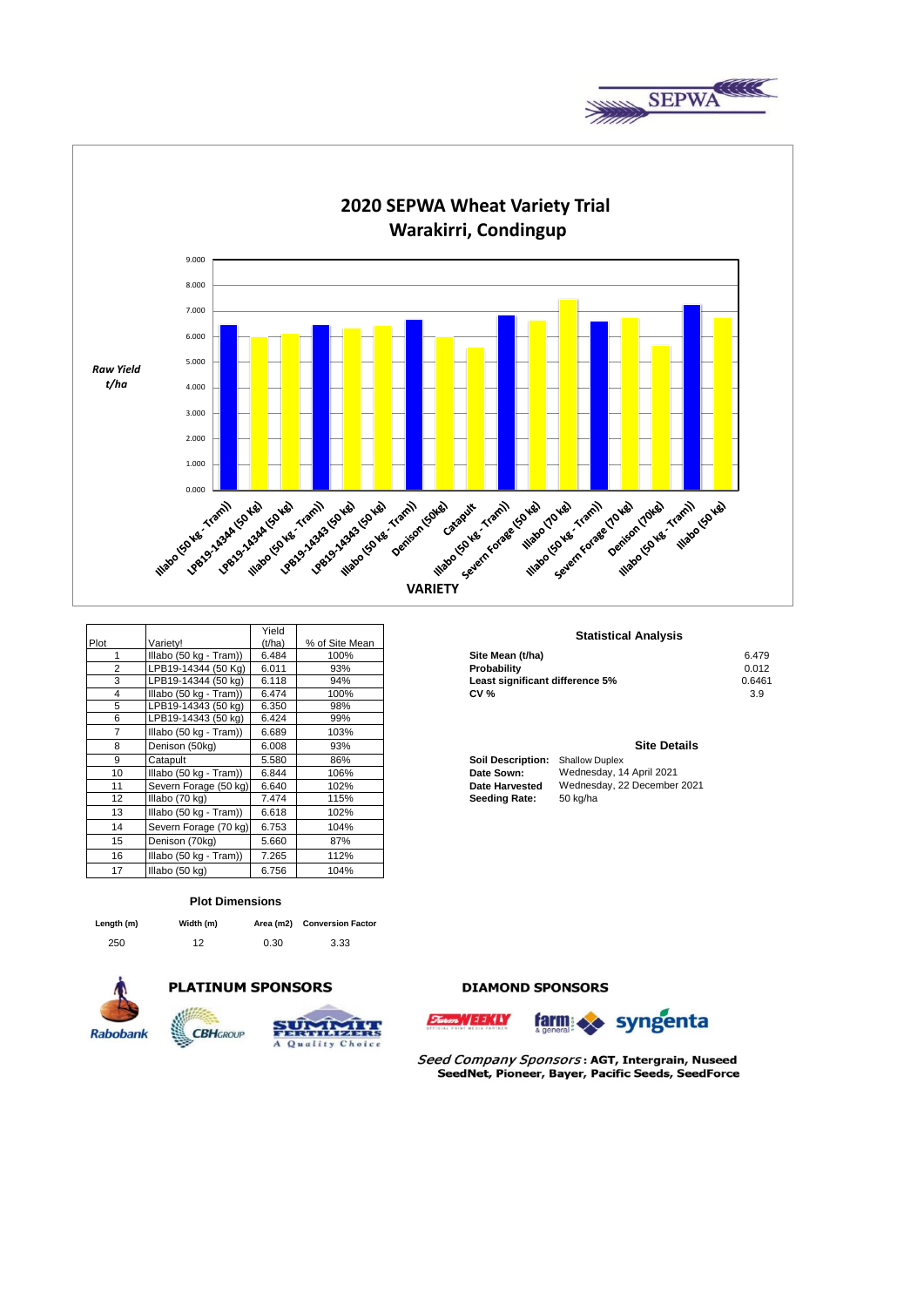



|      |                        | Yield  |                | Statistic                                         |
|------|------------------------|--------|----------------|---------------------------------------------------|
| Plot | Varietv!               | (t/ha) | % of Site Mean |                                                   |
|      | Illabo (50 kg - Tram)) | 6.484  | 100%           | Site Mean (t/ha)                                  |
| 2    | LPB19-14344 (50 Kg)    | 6.011  | 93%            | Probability                                       |
| 3    | LPB19-14344 (50 kg)    | 6.118  | 94%            | Least significant difference 5%                   |
| 4    | Illabo (50 kg - Tram)) | 6.474  | 100%           | <b>CV %</b>                                       |
| 5    | LPB19-14343 (50 kg)    | 6.350  | 98%            |                                                   |
| 6    | LPB19-14343 (50 kg)    | 6.424  | 99%            |                                                   |
| 7    | Illabo (50 kg - Tram)) | 6.689  | 103%           |                                                   |
| 8    | Denison (50kg)         | 6.008  | 93%            |                                                   |
| 9    | Catapult               | 5.580  | 86%            | <b>Soil Description:</b><br><b>Shallow Duplex</b> |
| 10   | Illabo (50 kg - Tram)) | 6.844  | 106%           | Wednesday, 1<br>Date Sown:                        |
| 11   | Severn Forage (50 kg)  | 6.640  | 102%           | Wednesday, 2<br><b>Date Harvested</b>             |
| 12   | Illabo (70 kg)         | 7.474  | 115%           | <b>Seeding Rate:</b><br>50 kg/ha                  |
| 13   | Illabo (50 kg - Tram)) | 6.618  | 102%           |                                                   |
| 14   | Severn Forage (70 kg)  | 6.753  | 104%           |                                                   |
| 15   | Denison (70kg)         | 5.660  | 87%            |                                                   |
| 16   | Illabo (50 kg - Tram)) | 7.265  | 112%           |                                                   |
| 17   | Illabo (50 kg)         | 6.756  | 104%           |                                                   |

#### **Plot Dimensions**

| enatn |  |
|-------|--|
|       |  |

250 12 0.30 3.33 **Conversion Factor Length (m) Width (m) Area (m2)** 



# **PLATINUM SPONSORS**



### **DIAMOND SPONSORS**





Seed Company Sponsors: AGT, Intergrain, Nuseed SeedNet, Pioneer, Bayer, Pacific Seeds, SeedForce

#### **Statistical Analysis**

| Illabo (50 kg - Tram)) | 6.484 | 100% | Site Mean (t/ha)                | 6.479  |
|------------------------|-------|------|---------------------------------|--------|
| LPB19-14344 (50 Kg)    | 6.011 | 93%  | Probability                     | 0.012  |
| LPB19-14344 (50 kg)    | 6.118 | 94%  | Least significant difference 5% | 0.6461 |
| Illabo (50 kg - Tram)) | 6.474 | 100% | <b>CV %</b>                     | 3.9    |

#### **Site Details**

| Soil Description:     | <b>Shallow Duplex</b>       |
|-----------------------|-----------------------------|
| <b>Date Sown:</b>     | Wednesday, 14 April 2021    |
| <b>Date Harvested</b> | Wednesday, 22 December 2021 |
| Seeding Rate:         | 50 kg/ha                    |